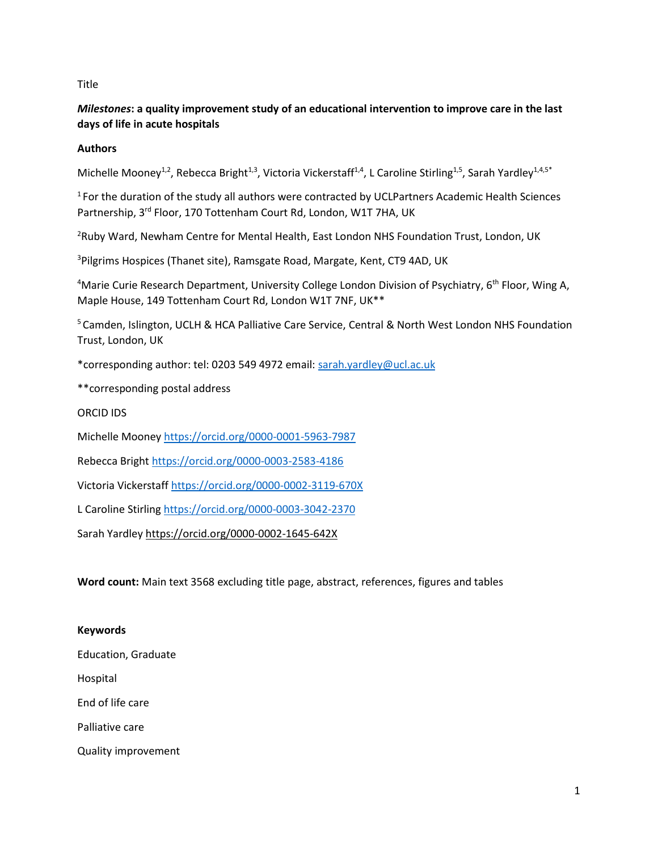## **Title**

# *Milestones***: a quality improvement study of an educational intervention to improve care in the last days of life in acute hospitals**

# **Authors**

Michelle Mooney<sup>1,2</sup>, Rebecca Bright<sup>1,3</sup>, Victoria Vickerstaff<sup>1,4</sup>, L Caroline Stirling<sup>1,5</sup>, Sarah Yardley<sup>1,4,5\*</sup>

<sup>1</sup> For the duration of the study all authors were contracted by UCLPartners Academic Health Sciences Partnership, 3<sup>rd</sup> Floor, 170 Tottenham Court Rd, London, W1T 7HA, UK

<sup>2</sup>Ruby Ward, Newham Centre for Mental Health, East London NHS Foundation Trust, London, UK

<sup>3</sup>Pilgrims Hospices (Thanet site), Ramsgate Road, Margate, Kent, CT9 4AD, UK

<sup>4</sup>Marie Curie Research Department, University College London Division of Psychiatry, 6<sup>th</sup> Floor, Wing A, Maple House, 149 Tottenham Court Rd, London W1T 7NF, UK\*\*

<sup>5</sup> Camden, Islington, UCLH & HCA Palliative Care Service, Central & North West London NHS Foundation Trust, London, UK

\*corresponding author: tel: 0203 549 4972 email: [sarah.yardley@ucl.ac.uk](mailto:sarahyardley@nhs.net)

\*\*corresponding postal address

ORCID IDS

Michelle Moone[y https://orcid.org/0000-0001-5963-7987](https://orcid.org/0000-0001-5963-7987)

Rebecca Bright<https://orcid.org/0000-0003-2583-4186>

Victoria Vickerstaff <https://orcid.org/0000-0002-3119-670X>

L Caroline Stirling<https://orcid.org/0000-0003-3042-2370>

Sarah Yardle[y https://orcid.org/0000-0002-1645-642X](https://orcid.org/0000-0002-1645-642X)

**Word count:** Main text 3568 excluding title page, abstract, references, figures and tables

#### **Keywords**

Education, Graduate

Hospital

End of life care

Palliative care

Quality improvement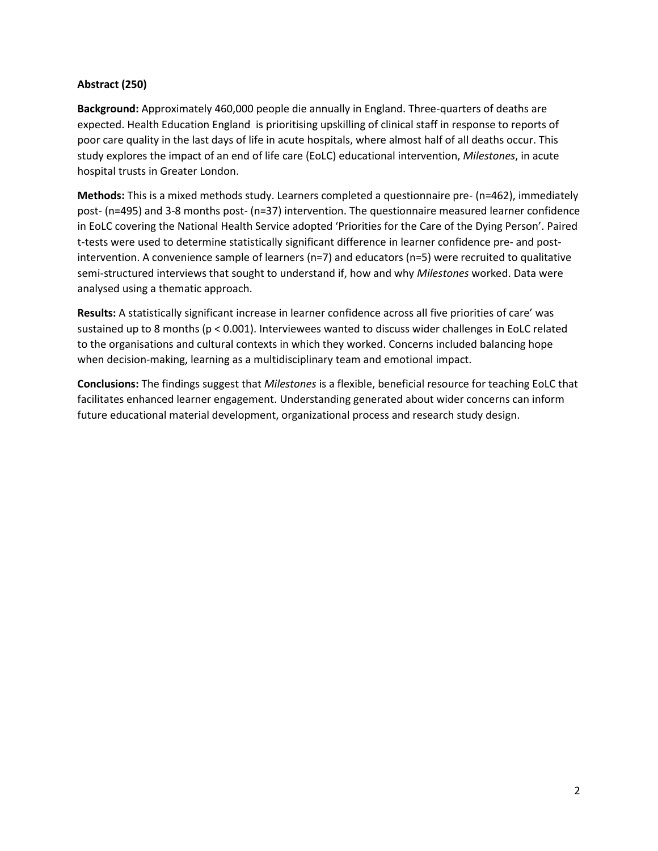## **Abstract (250)**

**Background:** Approximately 460,000 people die annually in England. Three-quarters of deaths are expected. Health Education England is prioritising upskilling of clinical staff in response to reports of poor care quality in the last days of life in acute hospitals, where almost half of all deaths occur. This study explores the impact of an end of life care (EoLC) educational intervention, *Milestones*, in acute hospital trusts in Greater London.

**Methods:** This is a mixed methods study. Learners completed a questionnaire pre- (n=462), immediately post- (n=495) and 3-8 months post- (n=37) intervention. The questionnaire measured learner confidence in EoLC covering the National Health Service adopted 'Priorities for the Care of the Dying Person'. Paired t-tests were used to determine statistically significant difference in learner confidence pre- and postintervention. A convenience sample of learners ( $n=7$ ) and educators ( $n=5$ ) were recruited to qualitative semi-structured interviews that sought to understand if, how and why *Milestones* worked. Data were analysed using a thematic approach.

**Results:** A statistically significant increase in learner confidence across all five priorities of care' was sustained up to 8 months (p < 0.001). Interviewees wanted to discuss wider challenges in EoLC related to the organisations and cultural contexts in which they worked. Concerns included balancing hope when decision-making, learning as a multidisciplinary team and emotional impact.

**Conclusions:** The findings suggest that *Milestones* is a flexible, beneficial resource for teaching EoLC that facilitates enhanced learner engagement. Understanding generated about wider concerns can inform future educational material development, organizational process and research study design.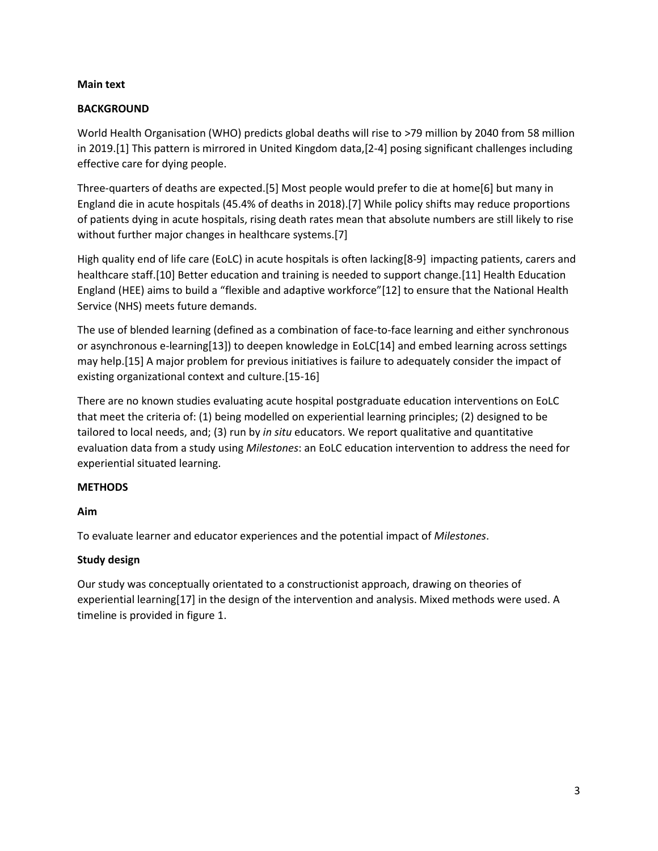## **Main text**

# **BACKGROUND**

World Health Organisation (WHO) predicts global deaths will rise to >79 million by 2040 from 58 million in 2019.[1] This pattern is mirrored in United Kingdom data,[2-4] posing significant challenges including effective care for dying people.

Three-quarters of deaths are expected.[5] Most people would prefer to die at home[6] but many in England die in acute hospitals (45.4% of deaths in 2018).[7] While policy shifts may reduce proportions of patients dying in acute hospitals, rising death rates mean that absolute numbers are still likely to rise without further major changes in healthcare systems.[7]

High quality end of life care (EoLC) in acute hospitals is often lacking[8-9] impacting patients, carers and healthcare staff.[10] Better education and training is needed to support change.[11] Health Education England (HEE) aims to build a "flexible and adaptive workforce"[12] to ensure that the National Health Service (NHS) meets future demands.

The use of blended learning (defined as a combination of face-to-face learning and either synchronous or asynchronous e-learning[13]) to deepen knowledge in EoLC[14] and embed learning across settings may help.[15] A major problem for previous initiatives is failure to adequately consider the impact of existing organizational context and culture.[15-16]

There are no known studies evaluating acute hospital postgraduate education interventions on EoLC that meet the criteria of: (1) being modelled on experiential learning principles; (2) designed to be tailored to local needs, and; (3) run by *in situ* educators. We report qualitative and quantitative evaluation data from a study using *Milestones*: an EoLC education intervention to address the need for experiential situated learning.

# **METHODS**

# **Aim**

To evaluate learner and educator experiences and the potential impact of *Milestones*.

# **Study design**

Our study was conceptually orientated to a constructionist approach, drawing on theories of experiential learning[17] in the design of the intervention and analysis. Mixed methods were used. A timeline is provided in figure 1.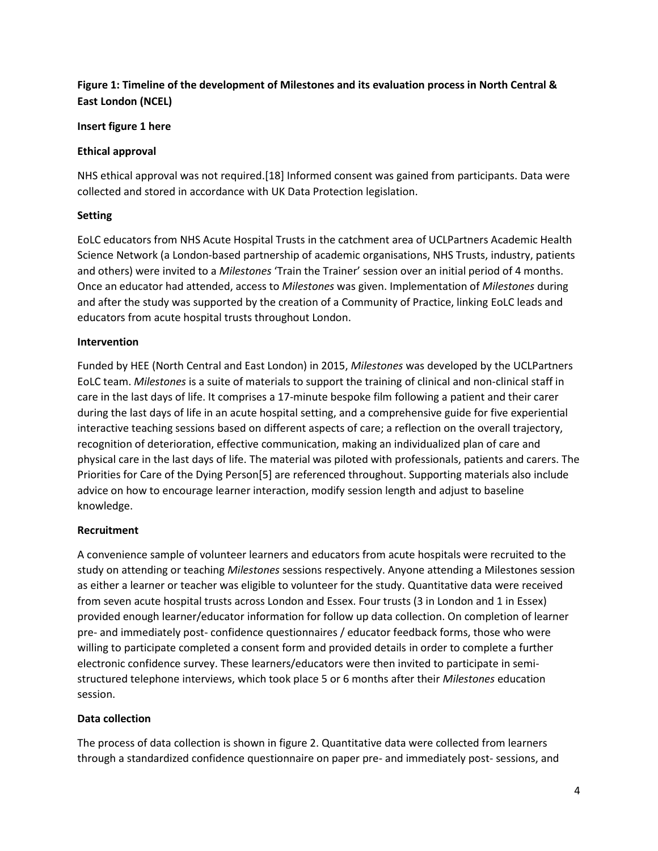# **Figure 1: Timeline of the development of Milestones and its evaluation process in North Central & East London (NCEL)**

## **Insert figure 1 here**

## **Ethical approval**

NHS ethical approval was not required.[18] Informed consent was gained from participants. Data were collected and stored in accordance with UK Data Protection legislation.

## **Setting**

EoLC educators from NHS Acute Hospital Trusts in the catchment area of UCLPartners Academic Health Science Network (a London-based partnership of academic organisations, NHS Trusts, industry, patients and others) were invited to a *Milestones* 'Train the Trainer' session over an initial period of 4 months. Once an educator had attended, access to *Milestones* was given. Implementation of *Milestones* during and after the study was supported by the creation of a Community of Practice, linking EoLC leads and educators from acute hospital trusts throughout London.

## **Intervention**

Funded by HEE (North Central and East London) in 2015, *Milestones* was developed by the UCLPartners EoLC team. *Milestones* is a suite of materials to support the training of clinical and non-clinical staff in care in the last days of life. It comprises a 17-minute bespoke film following a patient and their carer during the last days of life in an acute hospital setting, and a comprehensive guide for five experiential interactive teaching sessions based on different aspects of care; a reflection on the overall trajectory, recognition of deterioration, effective communication, making an individualized plan of care and physical care in the last days of life. The material was piloted with professionals, patients and carers. The Priorities for Care of the Dying Person[5] are referenced throughout. Supporting materials also include advice on how to encourage learner interaction, modify session length and adjust to baseline knowledge.

# **Recruitment**

A convenience sample of volunteer learners and educators from acute hospitals were recruited to the study on attending or teaching *Milestones* sessions respectively. Anyone attending a Milestones session as either a learner or teacher was eligible to volunteer for the study. Quantitative data were received from seven acute hospital trusts across London and Essex. Four trusts (3 in London and 1 in Essex) provided enough learner/educator information for follow up data collection. On completion of learner pre- and immediately post- confidence questionnaires / educator feedback forms, those who were willing to participate completed a consent form and provided details in order to complete a further electronic confidence survey. These learners/educators were then invited to participate in semistructured telephone interviews, which took place 5 or 6 months after their *Milestones* education session.

# **Data collection**

The process of data collection is shown in figure 2. Quantitative data were collected from learners through a standardized confidence questionnaire on paper pre- and immediately post- sessions, and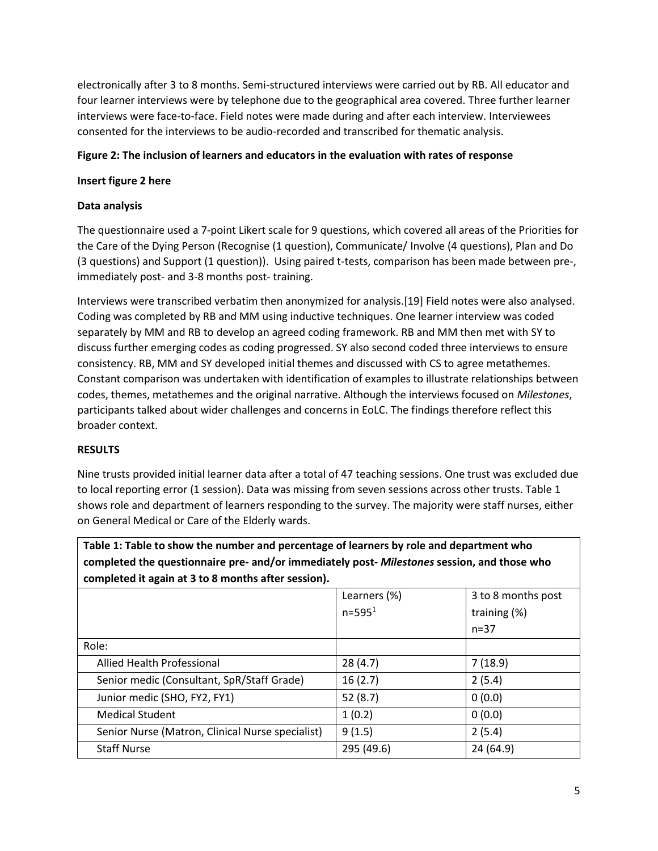electronically after 3 to 8 months. Semi-structured interviews were carried out by RB. All educator and four learner interviews were by telephone due to the geographical area covered. Three further learner interviews were face-to-face. Field notes were made during and after each interview. Interviewees consented for the interviews to be audio-recorded and transcribed for thematic analysis.

## **Figure 2: The inclusion of learners and educators in the evaluation with rates of response**

## **Insert figure 2 here**

## **Data analysis**

The questionnaire used a 7-point Likert scale for 9 questions, which covered all areas of the Priorities for the Care of the Dying Person (Recognise (1 question), Communicate/ Involve (4 questions), Plan and Do (3 questions) and Support (1 question)). Using paired t-tests, comparison has been made between pre-, immediately post- and 3-8 months post- training.

Interviews were transcribed verbatim then anonymized for analysis.[19] Field notes were also analysed. Coding was completed by RB and MM using inductive techniques. One learner interview was coded separately by MM and RB to develop an agreed coding framework. RB and MM then met with SY to discuss further emerging codes as coding progressed. SY also second coded three interviews to ensure consistency. RB, MM and SY developed initial themes and discussed with CS to agree metathemes. Constant comparison was undertaken with identification of examples to illustrate relationships between codes, themes, metathemes and the original narrative. Although the interviews focused on *Milestones*, participants talked about wider challenges and concerns in EoLC. The findings therefore reflect this broader context.

## **RESULTS**

Nine trusts provided initial learner data after a total of 47 teaching sessions. One trust was excluded due to local reporting error (1 session). Data was missing from seven sessions across other trusts. Table 1 shows role and department of learners responding to the survey. The majority were staff nurses, either on General Medical or Care of the Elderly wards.

**Table 1: Table to show the number and percentage of learners by role and department who completed the questionnaire pre- and/or immediately post-** *Milestones* **session, and those who completed it again at 3 to 8 months after session).** 

|                                                  | Learners (%) | 3 to 8 months post |
|--------------------------------------------------|--------------|--------------------|
|                                                  | $n = 5951$   | training (%)       |
|                                                  |              | $n = 37$           |
| Role:                                            |              |                    |
| Allied Health Professional                       | 28(4.7)      | 7(18.9)            |
| Senior medic (Consultant, SpR/Staff Grade)       | 16(2.7)      | 2(5.4)             |
| Junior medic (SHO, FY2, FY1)                     | 52(8.7)      | 0(0.0)             |
| <b>Medical Student</b>                           | 1(0.2)       | 0(0.0)             |
| Senior Nurse (Matron, Clinical Nurse specialist) | 9(1.5)       | 2(5.4)             |
| <b>Staff Nurse</b>                               | 295 (49.6)   | 24 (64.9)          |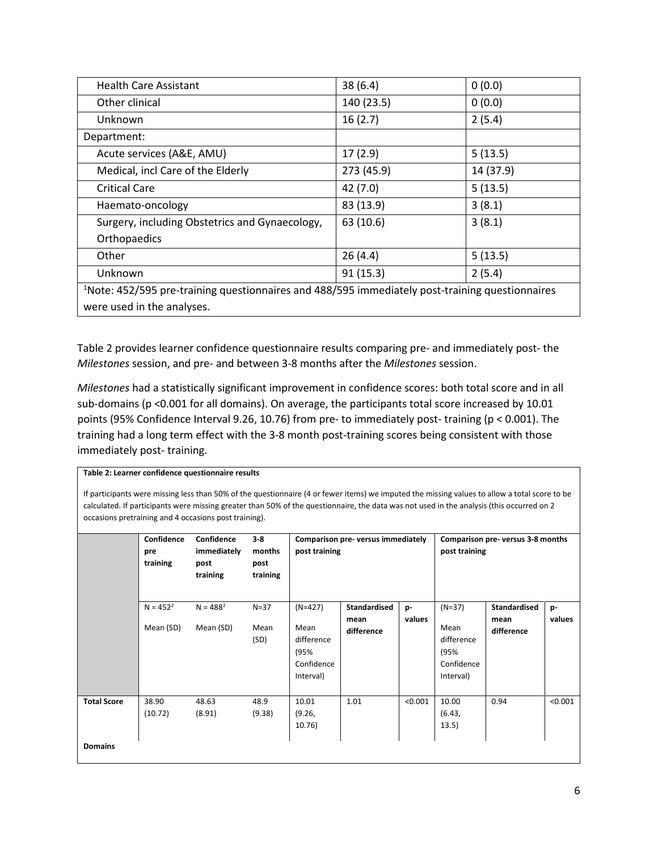| <b>Health Care Assistant</b>                                                                                | 38(6.4)    | 0(0.0)    |  |  |  |
|-------------------------------------------------------------------------------------------------------------|------------|-----------|--|--|--|
| Other clinical                                                                                              | 140 (23.5) | 0(0.0)    |  |  |  |
| Unknown                                                                                                     | 16(2.7)    | 2(5.4)    |  |  |  |
| Department:                                                                                                 |            |           |  |  |  |
| Acute services (A&E, AMU)                                                                                   | 17(2.9)    | 5(13.5)   |  |  |  |
| Medical, incl Care of the Elderly                                                                           | 273 (45.9) | 14 (37.9) |  |  |  |
| <b>Critical Care</b>                                                                                        | 42(7.0)    | 5(13.5)   |  |  |  |
| Haemato-oncology                                                                                            | 83 (13.9)  | 3(8.1)    |  |  |  |
| Surgery, including Obstetrics and Gynaecology,                                                              | 63 (10.6)  | 3(8.1)    |  |  |  |
| Orthopaedics                                                                                                |            |           |  |  |  |
| Other                                                                                                       | 26(4.4)    | 5(13.5)   |  |  |  |
| Unknown                                                                                                     | 91(15.3)   | 2(5.4)    |  |  |  |
| <sup>1</sup> Note: 452/595 pre-training questionnaires and 488/595 immediately post-training questionnaires |            |           |  |  |  |
| were used in the analyses.                                                                                  |            |           |  |  |  |

Table 2 provides learner confidence questionnaire results comparing pre- and immediately post- the *Milestones* session, and pre- and between 3-8 months after the *Milestones* session.

*Milestones* had a statistically significant improvement in confidence scores: both total score and in all sub-domains (p <0.001 for all domains). On average, the participants total score increased by 10.01 points (95% Confidence Interval 9.26, 10.76) from pre- to immediately post- training (p < 0.001). The training had a long term effect with the 3-8 month post-training scores being consistent with those immediately post- training.

#### **Table 2: Learner confidence questionnaire results**

If participants were missing less than 50% of the questionnaire (4 or fewer items) we imputed the missing values to allow a total score to be calculated. If participants were missing greater than 50% of the questionnaire, the data was not used in the analysis (this occurred on 2 occasions pretraining and 4 occasions post training).

|                                      | Confidence<br>pre<br>training | Confidence<br>immediately<br>post<br>training | $3-8$<br>months<br>post<br>training | Comparison pre-versus immediately<br>post training                 |                                           | Comparison pre-versus 3-8 months<br>post training |                                                                   |                                           |              |
|--------------------------------------|-------------------------------|-----------------------------------------------|-------------------------------------|--------------------------------------------------------------------|-------------------------------------------|---------------------------------------------------|-------------------------------------------------------------------|-------------------------------------------|--------------|
|                                      | $N = 452^2$<br>Mean (SD)      | $N = 4882$<br>Mean (SD)                       | $N=37$<br>Mean<br>(SD)              | $(N=427)$<br>Mean<br>difference<br>(95%<br>Confidence<br>Interval) | <b>Standardised</b><br>mean<br>difference | p-<br>values                                      | $(N=37)$<br>Mean<br>difference<br>(95%<br>Confidence<br>Interval) | <b>Standardised</b><br>mean<br>difference | p-<br>values |
| <b>Total Score</b><br><b>Domains</b> | 38.90<br>(10.72)              | 48.63<br>(8.91)                               | 48.9<br>(9.38)                      | 10.01<br>(9.26,<br>10.76)                                          | 1.01                                      | < 0.001                                           | 10.00<br>(6.43,<br>13.5)                                          | 0.94                                      | < 0.001      |
|                                      |                               |                                               |                                     |                                                                    |                                           |                                                   |                                                                   |                                           |              |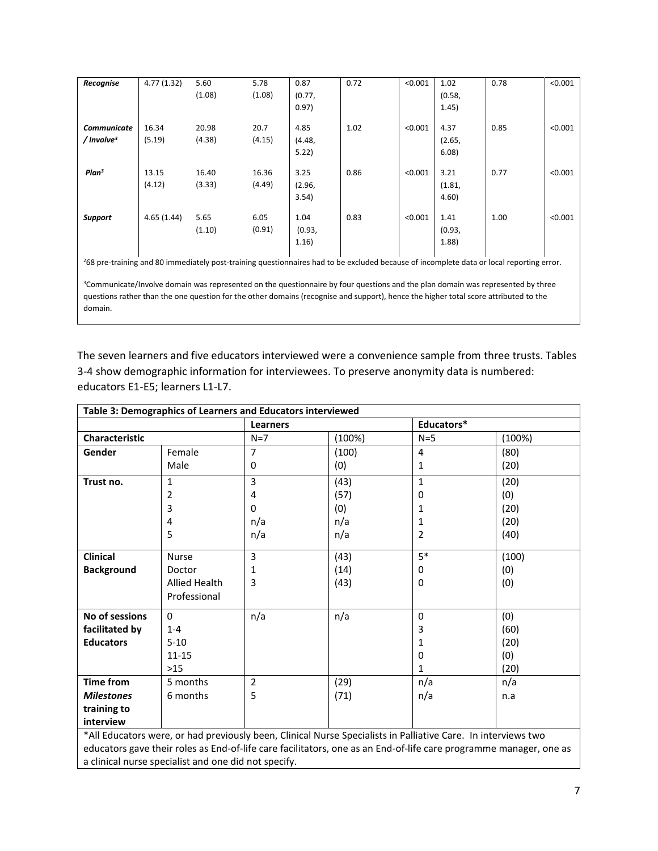| Recognise                                                                                                                                            | 4.77(1.32) | 5.60   | 5.78   | 0.87   | 0.72 | < 0.001 | 1.02   | 0.78 | < 0.001 |
|------------------------------------------------------------------------------------------------------------------------------------------------------|------------|--------|--------|--------|------|---------|--------|------|---------|
|                                                                                                                                                      |            | (1.08) | (1.08) | (0.77, |      |         | (0.58, |      |         |
|                                                                                                                                                      |            |        |        |        |      |         |        |      |         |
|                                                                                                                                                      |            |        |        | 0.97)  |      |         | 1.45)  |      |         |
| <b>Communicate</b>                                                                                                                                   | 16.34      | 20.98  | 20.7   | 4.85   | 1.02 | < 0.001 | 4.37   | 0.85 | < 0.001 |
| $/$ Involve <sup>3</sup>                                                                                                                             | (5.19)     | (4.38) | (4.15) | (4.48, |      |         | (2.65, |      |         |
|                                                                                                                                                      |            |        |        | 5.22   |      |         | 6.08   |      |         |
|                                                                                                                                                      |            |        |        |        |      |         |        |      |         |
| Plan <sup>3</sup>                                                                                                                                    | 13.15      | 16.40  | 16.36  | 3.25   | 0.86 | < 0.001 | 3.21   | 0.77 | < 0.001 |
|                                                                                                                                                      | (4.12)     | (3.33) | (4.49) | (2.96, |      |         | (1.81, |      |         |
|                                                                                                                                                      |            |        |        | 3.54)  |      |         | 4.60   |      |         |
|                                                                                                                                                      |            |        |        |        |      |         |        |      |         |
| <b>Support</b>                                                                                                                                       | 4.65(1.44) | 5.65   | 6.05   | 1.04   | 0.83 | < 0.001 | 1.41   | 1.00 | < 0.001 |
|                                                                                                                                                      |            | (1.10) | (0.91) | (0.93, |      |         | (0.93, |      |         |
|                                                                                                                                                      |            |        |        | 1.16)  |      |         | (1.88) |      |         |
|                                                                                                                                                      |            |        |        |        |      |         |        |      |         |
| <sup>2</sup> 68 pre-training and 80 immediately post-training questionnaires had to be excluded because of incomplete data or local reporting error. |            |        |        |        |      |         |        |      |         |
|                                                                                                                                                      |            |        |        |        |      |         |        |      |         |
| <sup>3</sup> Communicate/Involve domain was represented on the questionnaire by four questions and the plan domain was represented by three          |            |        |        |        |      |         |        |      |         |
| questions rather than the one question for the other domains (recognise and support), hence the higher total score attributed to the                 |            |        |        |        |      |         |        |      |         |

domain.

The seven learners and five educators interviewed were a convenience sample from three trusts. Tables 3-4 show demographic information for interviewees. To preserve anonymity data is numbered: educators E1-E5; learners L1-L7.

| Table 3: Demographics of Learners and Educators interviewed                                                       |                      |                |        |                |        |  |
|-------------------------------------------------------------------------------------------------------------------|----------------------|----------------|--------|----------------|--------|--|
|                                                                                                                   |                      | Learners       |        | Educators*     |        |  |
| <b>Characteristic</b>                                                                                             |                      | $N=7$          | (100%) | $N=5$          | (100%) |  |
| Gender                                                                                                            | Female               | 7              | (100)  | 4              | (80)   |  |
|                                                                                                                   | Male                 | 0              | (0)    | 1              | (20)   |  |
| Trust no.                                                                                                         | 1                    | 3              | (43)   | $\mathbf{1}$   | (20)   |  |
|                                                                                                                   | 2                    | 4              | (57)   | 0              | (0)    |  |
|                                                                                                                   | 3                    | $\mathbf 0$    | (0)    | 1              | (20)   |  |
|                                                                                                                   | 4                    | n/a            | n/a    | 1              | (20)   |  |
|                                                                                                                   | 5                    | n/a            | n/a    | $\overline{2}$ | (40)   |  |
| <b>Clinical</b>                                                                                                   | <b>Nurse</b>         | 3              | (43)   | $5*$           | (100)  |  |
| <b>Background</b>                                                                                                 | Doctor               | 1              | (14)   | 0              | (0)    |  |
|                                                                                                                   | <b>Allied Health</b> | 3              | (43)   | 0              | (0)    |  |
|                                                                                                                   | Professional         |                |        |                |        |  |
| No of sessions                                                                                                    | $\Omega$             | n/a            | n/a    | 0              | (0)    |  |
| facilitated by                                                                                                    | 3<br>(60)<br>$1 - 4$ |                |        |                |        |  |
| <b>Educators</b>                                                                                                  | $5 - 10$             |                |        | 1              | (20)   |  |
|                                                                                                                   | $11 - 15$            |                |        | 0              | (0)    |  |
|                                                                                                                   | $>15$                |                |        | 1              | (20)   |  |
| <b>Time from</b>                                                                                                  | 5 months             | $\overline{2}$ | (29)   | n/a            | n/a    |  |
| <b>Milestones</b>                                                                                                 | 6 months             | 5              | (71)   | n/a            | n.a    |  |
| training to                                                                                                       |                      |                |        |                |        |  |
| interview                                                                                                         |                      |                |        |                |        |  |
| *All Educators were, or had previously been, Clinical Nurse Specialists in Palliative Care. In interviews two     |                      |                |        |                |        |  |
| educators gave their roles as End-of-life care facilitators, one as an End-of-life care programme manager, one as |                      |                |        |                |        |  |
| a clinical nurse specialist and one did not specify.                                                              |                      |                |        |                |        |  |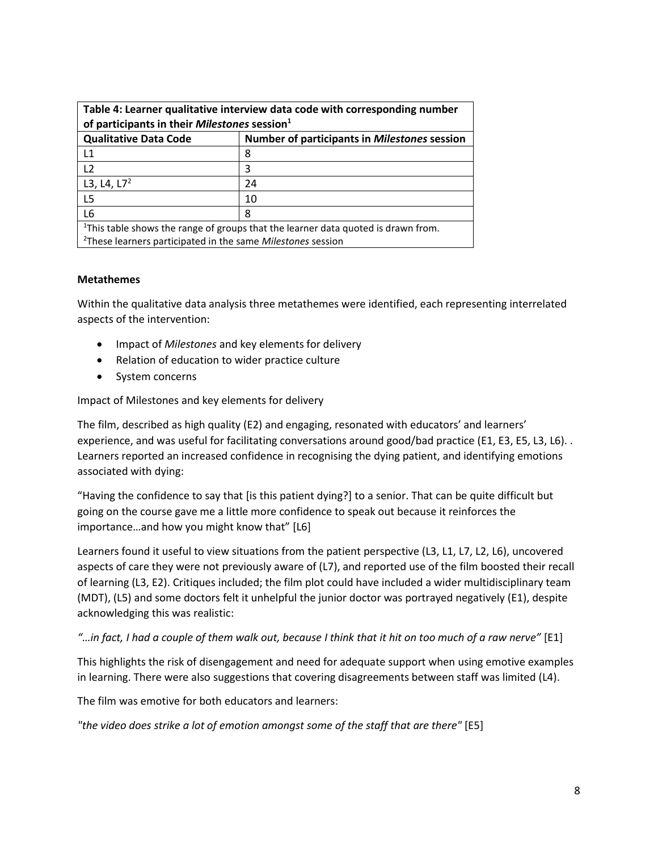| Table 4: Learner qualitative interview data code with corresponding number                    |                                              |  |  |  |
|-----------------------------------------------------------------------------------------------|----------------------------------------------|--|--|--|
| of participants in their Milestones session <sup>1</sup>                                      |                                              |  |  |  |
| <b>Qualitative Data Code</b>                                                                  | Number of participants in Milestones session |  |  |  |
| $\mathsf{L}$ 1                                                                                | 8                                            |  |  |  |
| 12                                                                                            | 3                                            |  |  |  |
| L3, L4, $L7^2$                                                                                | 24                                           |  |  |  |
| L <sub>5</sub>                                                                                | 10                                           |  |  |  |
| L6<br>8                                                                                       |                                              |  |  |  |
| <sup>1</sup> This table shows the range of groups that the learner data quoted is drawn from. |                                              |  |  |  |
| <sup>2</sup> These learners participated in the same <i>Milestones</i> session                |                                              |  |  |  |

## **Metathemes**

Within the qualitative data analysis three metathemes were identified, each representing interrelated aspects of the intervention:

- Impact of *Milestones* and key elements for delivery
- Relation of education to wider practice culture
- System concerns

Impact of Milestones and key elements for delivery

The film, described as high quality (E2) and engaging, resonated with educators' and learners' experience, and was useful for facilitating conversations around good/bad practice (E1, E3, E5, L3, L6). . Learners reported an increased confidence in recognising the dying patient, and identifying emotions associated with dying:

"Having the confidence to say that [is this patient dying?] to a senior. That can be quite difficult but going on the course gave me a little more confidence to speak out because it reinforces the importance…and how you might know that" [L6]

Learners found it useful to view situations from the patient perspective (L3, L1, L7, L2, L6), uncovered aspects of care they were not previously aware of (L7), and reported use of the film boosted their recall of learning (L3, E2). Critiques included; the film plot could have included a wider multidisciplinary team (MDT), (L5) and some doctors felt it unhelpful the junior doctor was portrayed negatively (E1), despite acknowledging this was realistic:

## *"…in fact, I had a couple of them walk out, because I think that it hit on too much of a raw nerve"* [E1]

This highlights the risk of disengagement and need for adequate support when using emotive examples in learning. There were also suggestions that covering disagreements between staff was limited (L4).

The film was emotive for both educators and learners:

*"the video does strike a lot of emotion amongst some of the staff that are there"* [E5]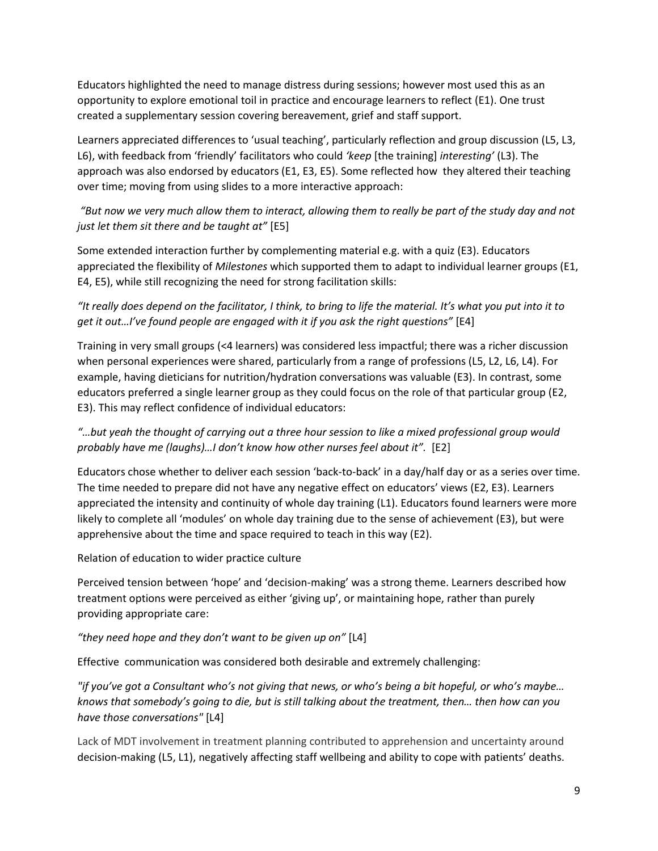Educators highlighted the need to manage distress during sessions; however most used this as an opportunity to explore emotional toil in practice and encourage learners to reflect (E1). One trust created a supplementary session covering bereavement, grief and staff support.

Learners appreciated differences to 'usual teaching', particularly reflection and group discussion (L5, L3, L6), with feedback from 'friendly' facilitators who could *'keep* [the training] *interesting'* (L3). The approach was also endorsed by educators (E1, E3, E5). Some reflected how they altered their teaching over time; moving from using slides to a more interactive approach:

# *"But now we very much allow them to interact, allowing them to really be part of the study day and not just let them sit there and be taught at"* [E5]

Some extended interaction further by complementing material e.g. with a quiz (E3). Educators appreciated the flexibility of *Milestones* which supported them to adapt to individual learner groups (E1, E4, E5), while still recognizing the need for strong facilitation skills:

# *"It really does depend on the facilitator, I think, to bring to life the material. It's what you put into it to get it out…I've found people are engaged with it if you ask the right questions"* [E4]

Training in very small groups (<4 learners) was considered less impactful; there was a richer discussion when personal experiences were shared, particularly from a range of professions (L5, L2, L6, L4). For example, having dieticians for nutrition/hydration conversations was valuable (E3). In contrast, some educators preferred a single learner group as they could focus on the role of that particular group (E2, E3). This may reflect confidence of individual educators:

# *"…but yeah the thought of carrying out a three hour session to like a mixed professional group would probably have me (laughs)…I don't know how other nurses feel about it".* [E2]

Educators chose whether to deliver each session 'back-to-back' in a day/half day or as a series over time. The time needed to prepare did not have any negative effect on educators' views (E2, E3). Learners appreciated the intensity and continuity of whole day training (L1). Educators found learners were more likely to complete all 'modules' on whole day training due to the sense of achievement (E3), but were apprehensive about the time and space required to teach in this way (E2).

# Relation of education to wider practice culture

Perceived tension between 'hope' and 'decision-making' was a strong theme. Learners described how treatment options were perceived as either 'giving up', or maintaining hope, rather than purely providing appropriate care:

# *"they need hope and they don't want to be given up on"* [L4]

Effective communication was considered both desirable and extremely challenging:

*"if you've got a Consultant who's not giving that news, or who's being a bit hopeful, or who's maybe… knows that somebody's going to die, but is still talking about the treatment, then… then how can you have those conversations"* [L4]

Lack of MDT involvement in treatment planning contributed to apprehension and uncertainty around decision-making (L5, L1), negatively affecting staff wellbeing and ability to cope with patients' deaths.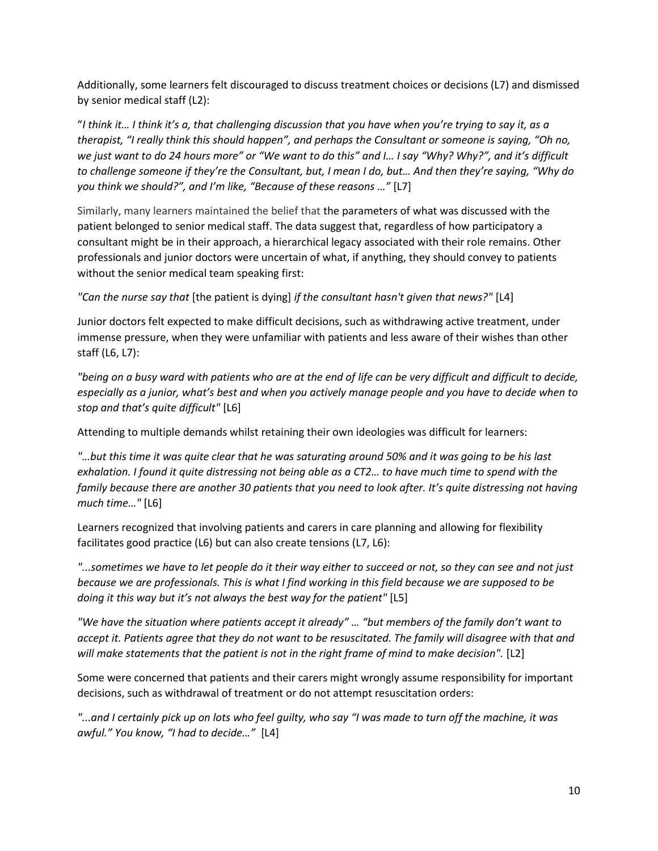Additionally, some learners felt discouraged to discuss treatment choices or decisions (L7) and dismissed by senior medical staff (L2):

"*I think it… I think it's a, that challenging discussion that you have when you're trying to say it, as a therapist, "I really think this should happen", and perhaps the Consultant or someone is saying, "Oh no, we just want to do 24 hours more" or "We want to do this" and I… I say "Why? Why?", and it's difficult to challenge someone if they're the Consultant, but, I mean I do, but… And then they're saying, "Why do you think we should?", and I'm like, "Because of these reasons …"* [L7]

Similarly, many learners maintained the belief that the parameters of what was discussed with the patient belonged to senior medical staff. The data suggest that, regardless of how participatory a consultant might be in their approach, a hierarchical legacy associated with their role remains. Other professionals and junior doctors were uncertain of what, if anything, they should convey to patients without the senior medical team speaking first:

*"Can the nurse say that* [the patient is dying] *if the consultant hasn't given that news?"* [L4]

Junior doctors felt expected to make difficult decisions, such as withdrawing active treatment, under immense pressure, when they were unfamiliar with patients and less aware of their wishes than other staff (L6, L7):

*"being on a busy ward with patients who are at the end of life can be very difficult and difficult to decide, especially as a junior, what's best and when you actively manage people and you have to decide when to stop and that's quite difficult"* [L6]

Attending to multiple demands whilst retaining their own ideologies was difficult for learners:

*"…but this time it was quite clear that he was saturating around 50% and it was going to be his last exhalation. I found it quite distressing not being able as a CT2… to have much time to spend with the family because there are another 30 patients that you need to look after. It's quite distressing not having much time…"* [L6]

Learners recognized that involving patients and carers in care planning and allowing for flexibility facilitates good practice (L6) but can also create tensions (L7, L6):

*"...sometimes we have to let people do it their way either to succeed or not, so they can see and not just because we are professionals. This is what I find working in this field because we are supposed to be doing it this way but it's not always the best way for the patient"* [L5]

*"We have the situation where patients accept it already" … "but members of the family don't want to accept it. Patients agree that they do not want to be resuscitated. The family will disagree with that and will make statements that the patient is not in the right frame of mind to make decision".* [L2]

Some were concerned that patients and their carers might wrongly assume responsibility for important decisions, such as withdrawal of treatment or do not attempt resuscitation orders:

*"...and I certainly pick up on lots who feel guilty, who say "I was made to turn off the machine, it was awful." You know, "I had to decide…"* [L4]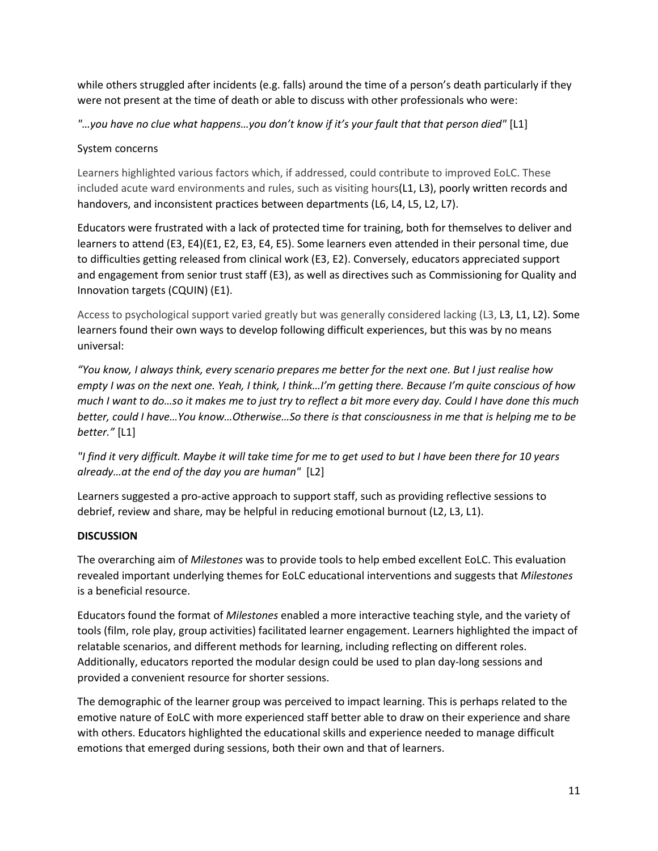while others struggled after incidents (e.g. falls) around the time of a person's death particularly if they were not present at the time of death or able to discuss with other professionals who were:

*"…you have no clue what happens…you don't know if it's your fault that that person died"* [L1]

# System concerns

Learners highlighted various factors which, if addressed, could contribute to improved EoLC. These included acute ward environments and rules, such as visiting hours(L1, L3), poorly written records and handovers, and inconsistent practices between departments (L6, L4, L5, L2, L7).

Educators were frustrated with a lack of protected time for training, both for themselves to deliver and learners to attend (E3, E4)(E1, E2, E3, E4, E5). Some learners even attended in their personal time, due to difficulties getting released from clinical work (E3, E2). Conversely, educators appreciated support and engagement from senior trust staff (E3), as well as directives such as Commissioning for Quality and Innovation targets (CQUIN) (E1).

Access to psychological support varied greatly but was generally considered lacking (L3, L3, L1, L2). Some learners found their own ways to develop following difficult experiences, but this was by no means universal:

*"You know, I always think, every scenario prepares me better for the next one. But I just realise how empty I was on the next one. Yeah, I think, I think…I'm getting there. Because I'm quite conscious of how much I want to do…so it makes me to just try to reflect a bit more every day. Could I have done this much better, could I have…You know…Otherwise…So there is that consciousness in me that is helping me to be better."* [L1]

*"I find it very difficult. Maybe it will take time for me to get used to but I have been there for 10 years already…at the end of the day you are human"* [L2]

Learners suggested a pro-active approach to support staff, such as providing reflective sessions to debrief, review and share, may be helpful in reducing emotional burnout (L2, L3, L1).

# **DISCUSSION**

The overarching aim of *Milestones* was to provide tools to help embed excellent EoLC. This evaluation revealed important underlying themes for EoLC educational interventions and suggests that *Milestones* is a beneficial resource.

Educators found the format of *Milestones* enabled a more interactive teaching style, and the variety of tools (film, role play, group activities) facilitated learner engagement. Learners highlighted the impact of relatable scenarios, and different methods for learning, including reflecting on different roles. Additionally, educators reported the modular design could be used to plan day-long sessions and provided a convenient resource for shorter sessions.

The demographic of the learner group was perceived to impact learning. This is perhaps related to the emotive nature of EoLC with more experienced staff better able to draw on their experience and share with others. Educators highlighted the educational skills and experience needed to manage difficult emotions that emerged during sessions, both their own and that of learners.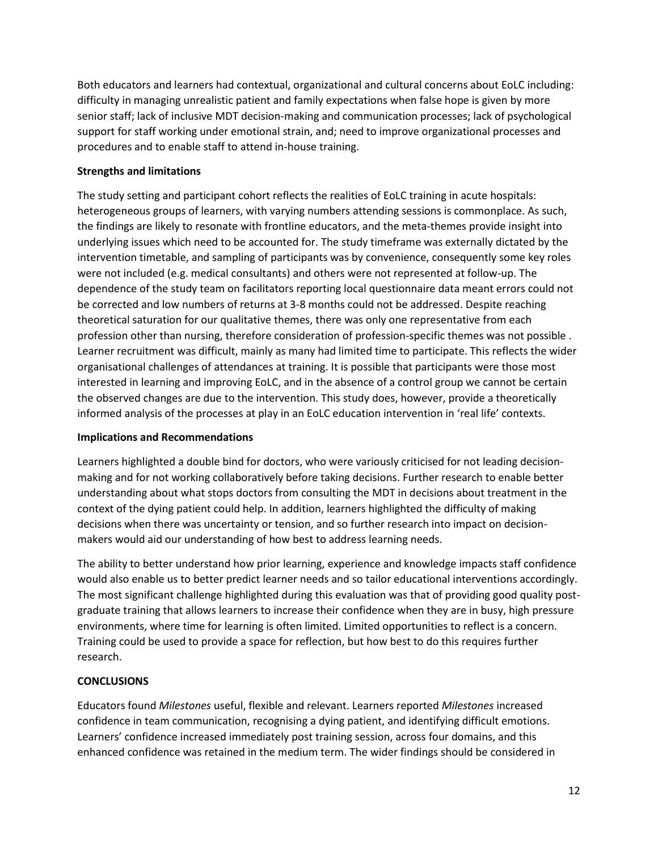Both educators and learners had contextual, organizational and cultural concerns about EoLC including: difficulty in managing unrealistic patient and family expectations when false hope is given by more senior staff; lack of inclusive MDT decision-making and communication processes; lack of psychological support for staff working under emotional strain, and; need to improve organizational processes and procedures and to enable staff to attend in-house training.

## **Strengths and limitations**

The study setting and participant cohort reflects the realities of EoLC training in acute hospitals: heterogeneous groups of learners, with varying numbers attending sessions is commonplace. As such, the findings are likely to resonate with frontline educators, and the meta-themes provide insight into underlying issues which need to be accounted for. The study timeframe was externally dictated by the intervention timetable, and sampling of participants was by convenience, consequently some key roles were not included (e.g. medical consultants) and others were not represented at follow-up. The dependence of the study team on facilitators reporting local questionnaire data meant errors could not be corrected and low numbers of returns at 3-8 months could not be addressed. Despite reaching theoretical saturation for our qualitative themes, there was only one representative from each profession other than nursing, therefore consideration of profession-specific themes was not possible . Learner recruitment was difficult, mainly as many had limited time to participate. This reflects the wider organisational challenges of attendances at training. It is possible that participants were those most interested in learning and improving EoLC, and in the absence of a control group we cannot be certain the observed changes are due to the intervention. This study does, however, provide a theoretically informed analysis of the processes at play in an EoLC education intervention in 'real life' contexts.

# **Implications and Recommendations**

Learners highlighted a double bind for doctors, who were variously criticised for not leading decisionmaking and for not working collaboratively before taking decisions. Further research to enable better understanding about what stops doctors from consulting the MDT in decisions about treatment in the context of the dying patient could help. In addition, learners highlighted the difficulty of making decisions when there was uncertainty or tension, and so further research into impact on decisionmakers would aid our understanding of how best to address learning needs.

The ability to better understand how prior learning, experience and knowledge impacts staff confidence would also enable us to better predict learner needs and so tailor educational interventions accordingly. The most significant challenge highlighted during this evaluation was that of providing good quality postgraduate training that allows learners to increase their confidence when they are in busy, high pressure environments, where time for learning is often limited. Limited opportunities to reflect is a concern. Training could be used to provide a space for reflection, but how best to do this requires further research.

# **CONCLUSIONS**

Educators found *Milestones* useful, flexible and relevant. Learners reported *Milestones* increased confidence in team communication, recognising a dying patient, and identifying difficult emotions. Learners' confidence increased immediately post training session, across four domains, and this enhanced confidence was retained in the medium term. The wider findings should be considered in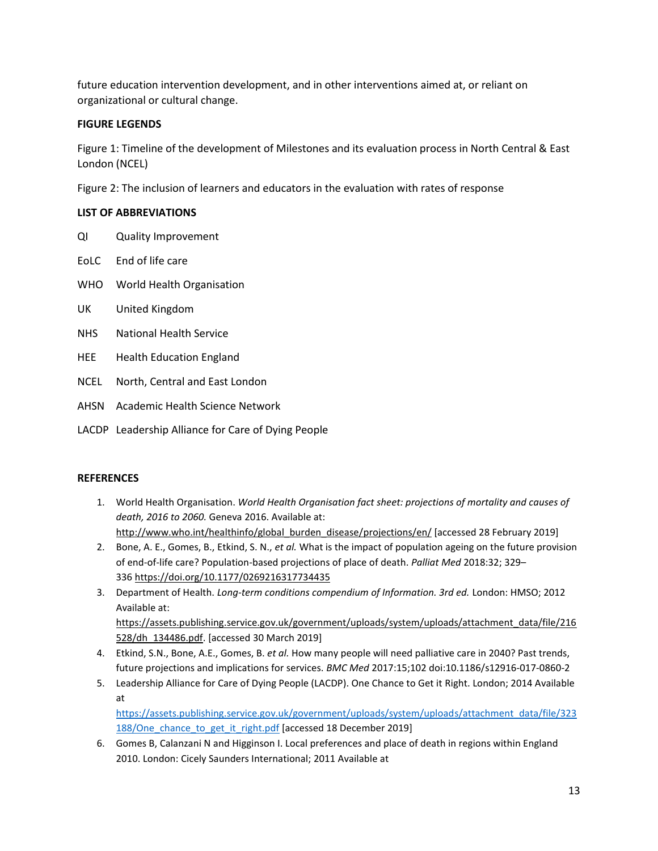future education intervention development, and in other interventions aimed at, or reliant on organizational or cultural change.

## **FIGURE LEGENDS**

Figure 1: Timeline of the development of Milestones and its evaluation process in North Central & East London (NCEL)

Figure 2: The inclusion of learners and educators in the evaluation with rates of response

## **LIST OF ABBREVIATIONS**

- QI Quality Improvement
- EoLC End of life care
- WHO World Health Organisation
- UK United Kingdom
- NHS National Health Service
- HEE Health Education England
- NCEL North, Central and East London
- AHSN Academic Health Science Network
- LACDP Leadership Alliance for Care of Dying People

## **REFERENCES**

- 1. World Health Organisation. *World Health Organisation fact sheet: projections of mortality and causes of death, 2016 to 2060.* Geneva 2016. Available at: [http://www.who.int/healthinfo/global\\_burden\\_disease/projections/en/](http://www.who.int/healthinfo/global_burden_disease/projections/en/) [accessed 28 February 2019]
- 2. Bone, A. E., Gomes, B., Etkind, S. N., *et al.* What is the impact of population ageing on the future provision of end-of-life care? Population-based projections of place of death. *Palliat Med* 2018:32; 329– 336 <https://doi.org/10.1177/0269216317734435>
- 3. Department of Health. *Long-term conditions compendium of Information. 3rd ed.* London: HMSO; 2012 Available at: [https://assets.publishing.service.gov.uk/government/uploads/system/uploads/attachment\\_data/file/216](https://assets.publishing.service.gov.uk/government/uploads/system/uploads/attachment_data/file/216528/dh_134486.pdf) [528/dh\\_134486.pdf.](https://assets.publishing.service.gov.uk/government/uploads/system/uploads/attachment_data/file/216528/dh_134486.pdf) [accessed 30 March 2019]
- 4. Etkind, S.N., Bone, A.E., Gomes, B. *et al.* How many people will need palliative care in 2040? Past trends, future projections and implications for services. *BMC Med* 2017:15;102 doi:10.1186/s12916-017-0860-2
- 5. Leadership Alliance for Care of Dying People (LACDP). One Chance to Get it Right. London; 2014 Available at

[https://assets.publishing.service.gov.uk/government/uploads/system/uploads/attachment\\_data/file/323](https://assets.publishing.service.gov.uk/government/uploads/system/uploads/attachment_data/file/323188/One_chance_to_get_it_right.pdf) 188/One chance to get it right.pdf [accessed 18 December 2019]

6. Gomes B, Calanzani N and Higginson I. Local preferences and place of death in regions within England 2010. London: Cicely Saunders International; 2011 Available at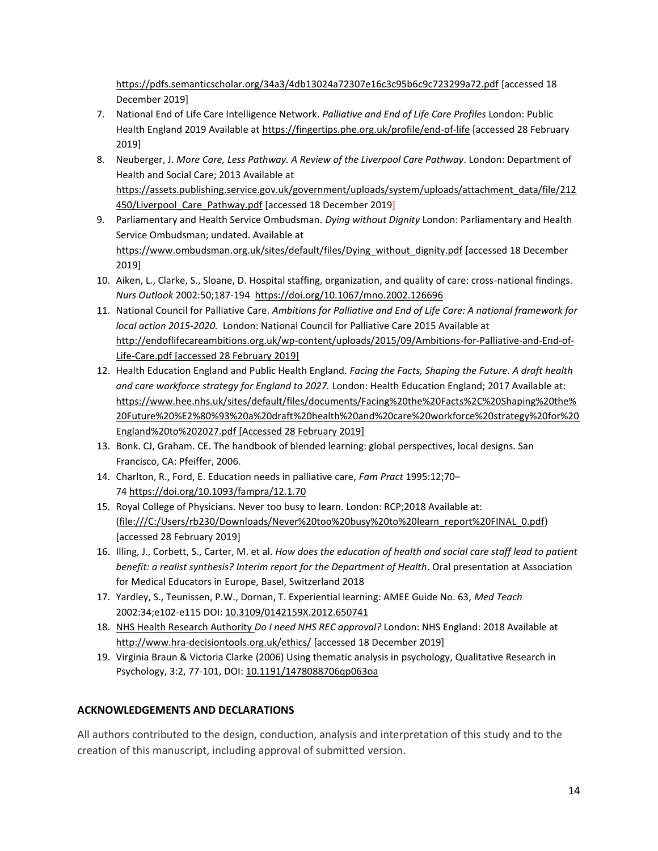<https://pdfs.semanticscholar.org/34a3/4db13024a72307e16c3c95b6c9c723299a72.pdf> [accessed 18 December 2019]

- 7. National End of Life Care Intelligence Network. *Palliative and End of Life Care Profiles* London: Public Health England 2019 Available at<https://fingertips.phe.org.uk/profile/end-of-life> [accessed 28 February 2019]
- 8. Neuberger, J. *More Care, Less Pathway. A Review of the Liverpool Care Pathway*. London: Department of Health and Social Care; 2013 Available at [https://assets.publishing.service.gov.uk/government/uploads/system/uploads/attachment\\_data/file/212](https://assets.publishing.service.gov.uk/government/uploads/system/uploads/attachment_data/file/212450/Liverpool_Care_Pathway.pdf) 450/Liverpool Care Pathway.pdf [accessed 18 December 2019]
- 9. Parliamentary and Health Service Ombudsman. *Dying without Dignity* London: Parliamentary and Health Service Ombudsman; undated. Available at [https://www.ombudsman.org.uk/sites/default/files/Dying\\_without\\_dignity.pdf](https://www.ombudsman.org.uk/sites/default/files/Dying_without_dignity.pdf) [accessed 18 December 2019]
- 10. Aiken, L., Clarke, S., Sloane, D. Hospital staffing, organization, and quality of care: cross-national findings. *Nurs Outlook* 2002:50;187-194 <https://doi.org/10.1067/mno.2002.126696>
- 11. National Council for Palliative Care. *Ambitions for Palliative and End of Life Care: A national framework for local action 2015-2020.* London: National Council for Palliative Care 2015 Available at [http://endoflifecareambitions.org.uk/wp-content/uploads/2015/09/Ambitions-for-Palliative-and-End-of-](http://endoflifecareambitions.org.uk/wp-content/uploads/2015/09/Ambitions-for-Palliative-and-End-of-Life-Care.pdf)[Life-Care.pdf](http://endoflifecareambitions.org.uk/wp-content/uploads/2015/09/Ambitions-for-Palliative-and-End-of-Life-Care.pdf) [accessed 28 February 2019]
- 12. Health Education England and Public Health England. *Facing the Facts, Shaping the Future. A draft health and care workforce strategy for England to 2027.* London: Health Education England; 2017 Available at: [https://www.hee.nhs.uk/sites/default/files/documents/Facing%20the%20Facts%2C%20Shaping%20the%](https://www.hee.nhs.uk/sites/default/files/documents/Facing%20the%20Facts%2C%20Shaping%20the%20Future%20%E2%80%93%20a%20draft%20health%20and%20care%20workforce%20strategy%20for%20England%20to%202027.pdf) [20Future%20%E2%80%93%20a%20draft%20health%20and%20care%20workforce%20strategy%20for%20](https://www.hee.nhs.uk/sites/default/files/documents/Facing%20the%20Facts%2C%20Shaping%20the%20Future%20%E2%80%93%20a%20draft%20health%20and%20care%20workforce%20strategy%20for%20England%20to%202027.pdf) [England%20to%202027.pdf](https://www.hee.nhs.uk/sites/default/files/documents/Facing%20the%20Facts%2C%20Shaping%20the%20Future%20%E2%80%93%20a%20draft%20health%20and%20care%20workforce%20strategy%20for%20England%20to%202027.pdf) [Accessed 28 February 2019]
- 13. Bonk. CJ, Graham. CE. The handbook of blended learning: global perspectives, local designs. San Francisco, CA: Pfeiffer, 2006.
- 14. Charlton, R., Ford, E. Education needs in palliative care, *Fam Pract* 1995:12;70– 74 <https://doi.org/10.1093/fampra/12.1.70>
- 15. Royal College of Physicians. Never too busy to learn. London: RCP;2018 Available at: [\(file:///C:/Users/rb230/Downloads/Never%20too%20busy%20to%20learn\\_report%20FINAL\\_0.pdf\)](file:///C:/Users/rb230/Downloads/Never%20too%20busy%20to%20learn_report%20FINAL_0.pdf) [accessed 28 February 2019]
- 16. Illing, J., Corbett, S., Carter, M. et al. *How does the education of health and social care staff lead to patient benefit: a realist synthesis? Interim report for the Department of Health*. Oral presentation at Association for Medical Educators in Europe, Basel, Switzerland 2018
- 17. Yardley, S., Teunissen, P.W., Dornan, T. Experiential learning: AMEE Guide No. 63, *Med Teach* 2002:34;e102-e115 DOI: [10.3109/0142159X.2012.650741](https://doi.org/10.3109/0142159X.2012.650741)
- 18. [NHS](http://www.hra-decisiontools.org.uk/ethics/) Health Research Authority *Do I need NHS REC approval?* London: NHS England: 2018 Available at <http://www.hra-decisiontools.org.uk/ethics/> [accessed 18 December 2019]
- 19. Virginia Braun & Victoria Clarke (2006) Using thematic analysis in psychology, Qualitative Research in Psychology, 3:2, 77-101, DOI: [10.1191/1478088706qp063oa](https://doi.org/10.1191/1478088706qp063oa)

# **ACKNOWLEDGEMENTS AND DECLARATIONS**

All authors contributed to the design, conduction, analysis and interpretation of this study and to the creation of this manuscript, including approval of submitted version.